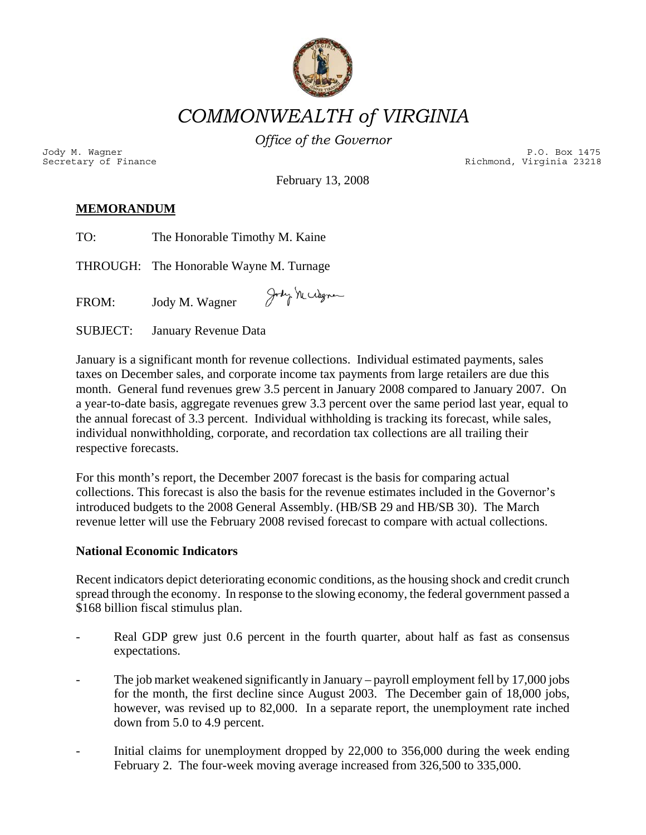

*COMMONWEALTH of VIRGINIA* 

*Office of the Governor*

Jody M. Wagner P.O. Box 1475<br>Secretary of Finance external property of the external property of the external property of the external prope<br>P.O. Box 1475 (P.O. Box 1475) Richmond, Virginia 23218

February 13, 2008

# **MEMORANDUM**

| The Honorable Timothy M. Kaine |
|--------------------------------|
|                                |

THROUGH: The Honorable Wayne M. Turnage

Jody Mccogner FROM: Jody M. Wagner

SUBJECT: January Revenue Data

January is a significant month for revenue collections. Individual estimated payments, sales taxes on December sales, and corporate income tax payments from large retailers are due this month. General fund revenues grew 3.5 percent in January 2008 compared to January 2007. On a year-to-date basis, aggregate revenues grew 3.3 percent over the same period last year, equal to the annual forecast of 3.3 percent. Individual withholding is tracking its forecast, while sales, individual nonwithholding, corporate, and recordation tax collections are all trailing their respective forecasts.

For this month's report, the December 2007 forecast is the basis for comparing actual collections. This forecast is also the basis for the revenue estimates included in the Governor's introduced budgets to the 2008 General Assembly. (HB/SB 29 and HB/SB 30). The March revenue letter will use the February 2008 revised forecast to compare with actual collections.

## **National Economic Indicators**

Recent indicators depict deteriorating economic conditions, as the housing shock and credit crunch spread through the economy. In response to the slowing economy, the federal government passed a \$168 billion fiscal stimulus plan.

- Real GDP grew just 0.6 percent in the fourth quarter, about half as fast as consensus expectations.
- The job market weakened significantly in January payroll employment fell by 17,000 jobs for the month, the first decline since August 2003. The December gain of 18,000 jobs, however, was revised up to 82,000. In a separate report, the unemployment rate inched down from 5.0 to 4.9 percent.
- Initial claims for unemployment dropped by 22,000 to 356,000 during the week ending February 2. The four-week moving average increased from 326,500 to 335,000.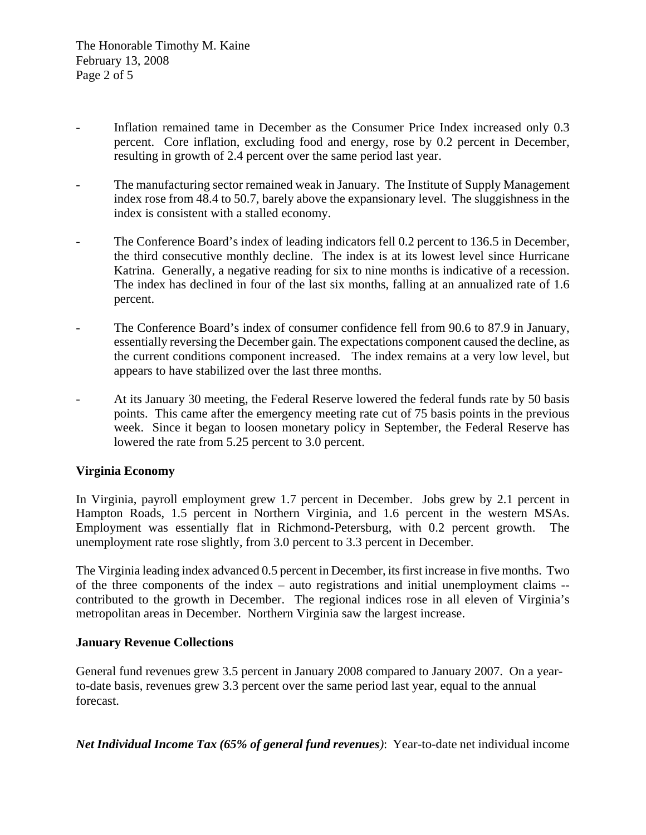- Inflation remained tame in December as the Consumer Price Index increased only 0.3 percent. Core inflation, excluding food and energy, rose by 0.2 percent in December, resulting in growth of 2.4 percent over the same period last year.
- The manufacturing sector remained weak in January. The Institute of Supply Management index rose from 48.4 to 50.7, barely above the expansionary level. The sluggishness in the index is consistent with a stalled economy.
- The Conference Board's index of leading indicators fell 0.2 percent to 136.5 in December, the third consecutive monthly decline. The index is at its lowest level since Hurricane Katrina. Generally, a negative reading for six to nine months is indicative of a recession. The index has declined in four of the last six months, falling at an annualized rate of 1.6 percent.
- The Conference Board's index of consumer confidence fell from 90.6 to 87.9 in January, essentially reversing the December gain. The expectations component caused the decline, as the current conditions component increased. The index remains at a very low level, but appears to have stabilized over the last three months.
- At its January 30 meeting, the Federal Reserve lowered the federal funds rate by 50 basis points. This came after the emergency meeting rate cut of 75 basis points in the previous week. Since it began to loosen monetary policy in September, the Federal Reserve has lowered the rate from 5.25 percent to 3.0 percent.

## **Virginia Economy**

In Virginia, payroll employment grew 1.7 percent in December. Jobs grew by 2.1 percent in Hampton Roads, 1.5 percent in Northern Virginia, and 1.6 percent in the western MSAs. Employment was essentially flat in Richmond-Petersburg, with 0.2 percent growth. The unemployment rate rose slightly, from 3.0 percent to 3.3 percent in December.

The Virginia leading index advanced 0.5 percent in December, its first increase in five months. Two of the three components of the index – auto registrations and initial unemployment claims - contributed to the growth in December. The regional indices rose in all eleven of Virginia's metropolitan areas in December. Northern Virginia saw the largest increase.

### **January Revenue Collections**

General fund revenues grew 3.5 percent in January 2008 compared to January 2007. On a yearto-date basis, revenues grew 3.3 percent over the same period last year, equal to the annual forecast.

*Net Individual Income Tax (65% of general fund revenues)*: Year-to-date net individual income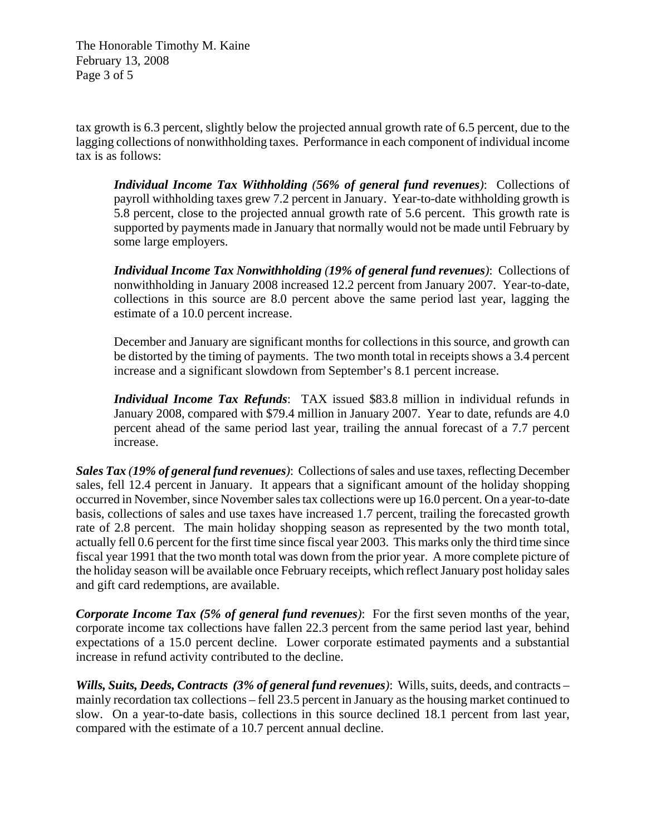The Honorable Timothy M. Kaine February 13, 2008 Page 3 of 5

tax growth is 6.3 percent, slightly below the projected annual growth rate of 6.5 percent, due to the lagging collections of nonwithholding taxes. Performance in each component of individual income tax is as follows:

*Individual Income Tax Withholding (56% of general fund revenues)*: Collections of payroll withholding taxes grew 7.2 percent in January. Year-to-date withholding growth is 5.8 percent, close to the projected annual growth rate of 5.6 percent. This growth rate is supported by payments made in January that normally would not be made until February by some large employers.

*Individual Income Tax Nonwithholding (19% of general fund revenues)*: Collections of nonwithholding in January 2008 increased 12.2 percent from January 2007. Year-to-date, collections in this source are 8.0 percent above the same period last year, lagging the estimate of a 10.0 percent increase.

December and January are significant months for collections in this source, and growth can be distorted by the timing of payments. The two month total in receipts shows a 3.4 percent increase and a significant slowdown from September's 8.1 percent increase.

*Individual Income Tax Refunds*: TAX issued \$83.8 million in individual refunds in January 2008, compared with \$79.4 million in January 2007. Year to date, refunds are 4.0 percent ahead of the same period last year, trailing the annual forecast of a 7.7 percent increase.

*Sales Tax (19% of general fund revenues)*: Collections of sales and use taxes, reflecting December sales, fell 12.4 percent in January. It appears that a significant amount of the holiday shopping occurred in November, since November sales tax collections were up 16.0 percent. On a year-to-date basis, collections of sales and use taxes have increased 1.7 percent, trailing the forecasted growth rate of 2.8 percent. The main holiday shopping season as represented by the two month total, actually fell 0.6 percent for the first time since fiscal year 2003. This marks only the third time since fiscal year 1991 that the two month total was down from the prior year. A more complete picture of the holiday season will be available once February receipts, which reflect January post holiday sales and gift card redemptions, are available.

*Corporate Income Tax (5% of general fund revenues)*: For the first seven months of the year, corporate income tax collections have fallen 22.3 percent from the same period last year, behind expectations of a 15.0 percent decline. Lower corporate estimated payments and a substantial increase in refund activity contributed to the decline.

*Wills, Suits, Deeds, Contracts**(3% of general fund revenues)*: Wills, suits, deeds, and contracts – mainly recordation tax collections – fell 23.5 percent in January as the housing market continued to slow. On a year-to-date basis, collections in this source declined 18.1 percent from last year, compared with the estimate of a 10.7 percent annual decline.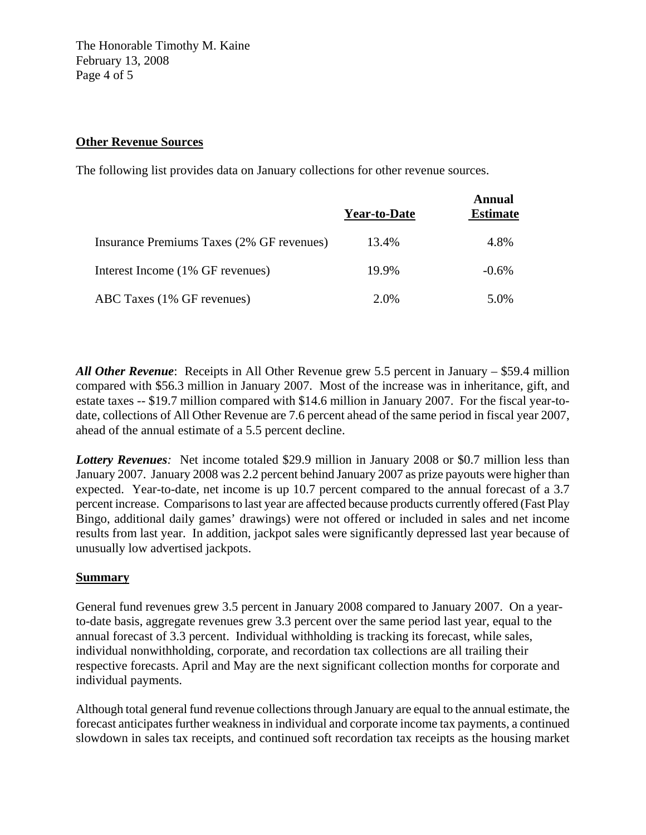The Honorable Timothy M. Kaine February 13, 2008 Page 4 of 5

### **Other Revenue Sources**

The following list provides data on January collections for other revenue sources.

|                                           | Year-to-Date | Annual<br><b>Estimate</b> |
|-------------------------------------------|--------------|---------------------------|
| Insurance Premiums Taxes (2% GF revenues) | 13.4%        | 4.8%                      |
| Interest Income (1% GF revenues)          | 19.9%        | $-0.6%$                   |
| ABC Taxes (1% GF revenues)                | 2.0%         | 5.0%                      |

*All Other Revenue*: Receipts in All Other Revenue grew 5.5 percent in January – \$59.4 million compared with \$56.3 million in January 2007. Most of the increase was in inheritance, gift, and estate taxes -- \$19.7 million compared with \$14.6 million in January 2007. For the fiscal year-todate, collections of All Other Revenue are 7.6 percent ahead of the same period in fiscal year 2007, ahead of the annual estimate of a 5.5 percent decline.

*Lottery Revenues:* Net income totaled \$29.9 million in January 2008 or \$0.7 million less than January 2007. January 2008 was 2.2 percent behind January 2007 as prize payouts were higher than expected. Year-to-date, net income is up 10.7 percent compared to the annual forecast of a 3.7 percent increase. Comparisons to last year are affected because products currently offered (Fast Play Bingo, additional daily games' drawings) were not offered or included in sales and net income results from last year. In addition, jackpot sales were significantly depressed last year because of unusually low advertised jackpots.

## **Summary**

General fund revenues grew 3.5 percent in January 2008 compared to January 2007. On a yearto-date basis, aggregate revenues grew 3.3 percent over the same period last year, equal to the annual forecast of 3.3 percent. Individual withholding is tracking its forecast, while sales, individual nonwithholding, corporate, and recordation tax collections are all trailing their respective forecasts. April and May are the next significant collection months for corporate and individual payments.

Although total general fund revenue collections through January are equal to the annual estimate, the forecast anticipates further weakness in individual and corporate income tax payments, a continued slowdown in sales tax receipts, and continued soft recordation tax receipts as the housing market